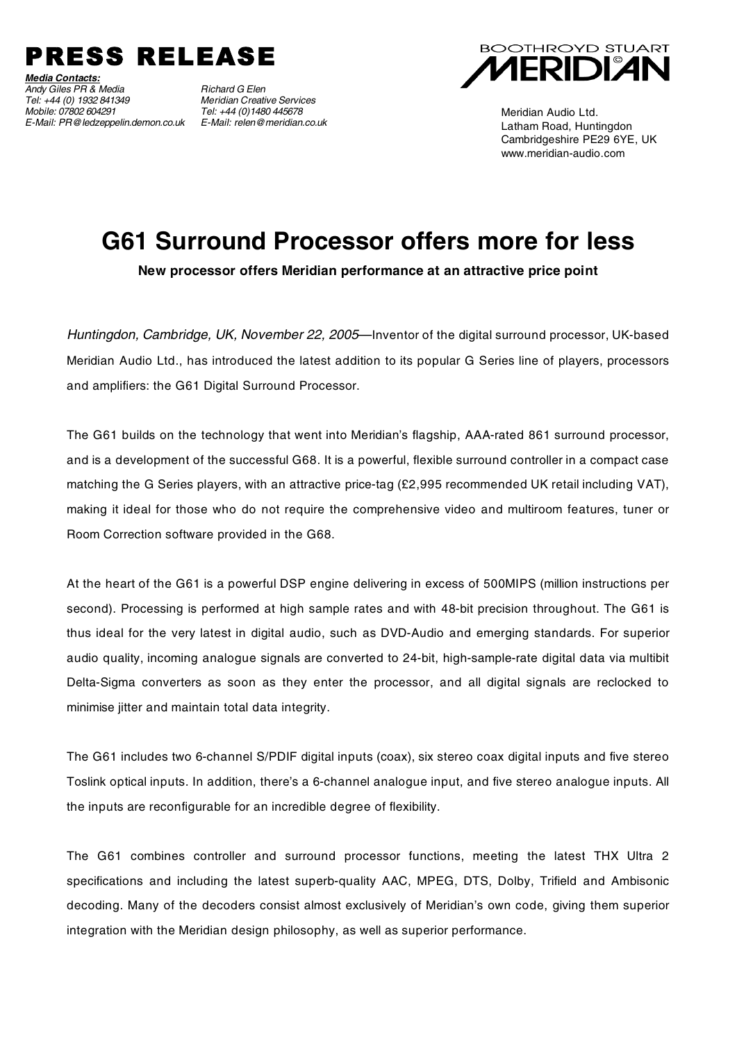

*Media Contacts: Andy Giles PR & Media Richard G Elen Tel: +44 (0) 1932 841349 Meridian Creative Services E-Mail: PR@ledzeppelin.demon.co.uk E-Mail: relen@meridian.co.uk*

*Mobile: 07802 604291 Tel: +44 (0)1480 445678*



Meridian Audio Ltd. Latham Road, Huntingdon Cambridgeshire PE29 6YE, UK www.meridian-audio.com

## **G61 Surround Processor offers more for less**

**New processor offers Meridian performance at an attractive price point**

*Huntingdon, Cambridge, UK, November 22, 2005*—Inventor of the digital surround processor, UK-based Meridian Audio Ltd., has introduced the latest addition to its popular G Series line of players, processors and amplifiers: the G61 Digital Surround Processor.

The G61 builds on the technology that went into Meridian's flagship, AAA-rated 861 surround processor, and is a development of the successful G68. It is a powerful, flexible surround controller in a compact case matching the G Series players, with an attractive price-tag (£2,995 recommended UK retail including VAT), making it ideal for those who do not require the comprehensive video and multiroom features, tuner or Room Correction software provided in the G68.

At the heart of the G61 is a powerful DSP engine delivering in excess of 500MIPS (million instructions per second). Processing is performed at high sample rates and with 48-bit precision throughout. The G61 is thus ideal for the very latest in digital audio, such as DVD-Audio and emerging standards. For superior audio quality, incoming analogue signals are converted to 24-bit, high-sample-rate digital data via multibit Delta-Sigma converters as soon as they enter the processor, and all digital signals are reclocked to minimise jitter and maintain total data integrity.

The G61 includes two 6-channel S/PDIF digital inputs (coax), six stereo coax digital inputs and five stereo Toslink optical inputs. In addition, there's a 6-channel analogue input, and five stereo analogue inputs. All the inputs are reconfigurable for an incredible degree of flexibility.

The G61 combines controller and surround processor functions, meeting the latest THX Ultra 2 specifications and including the latest superb-quality AAC, MPEG, DTS, Dolby, Trifield and Ambisonic decoding. Many of the decoders consist almost exclusively of Meridian's own code, giving them superior integration with the Meridian design philosophy, as well as superior performance.